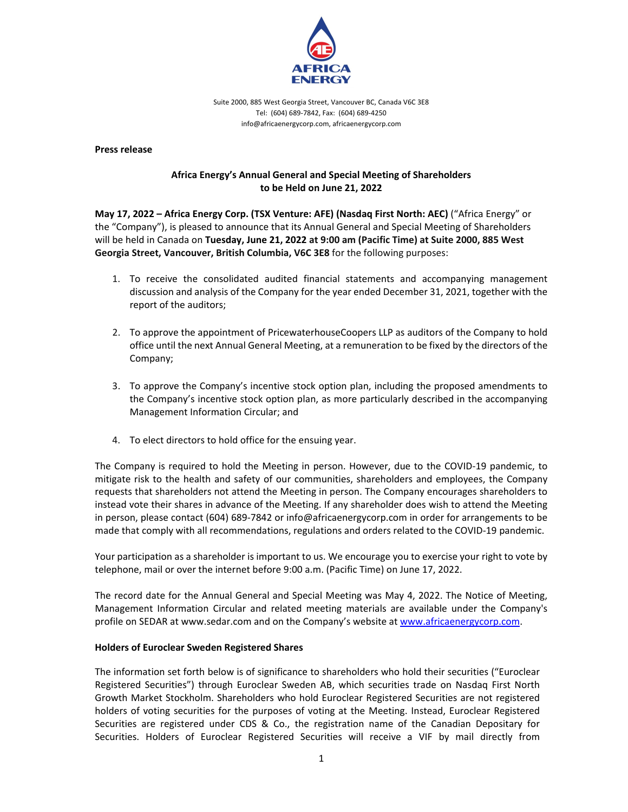

Suite 2000, 885 West Georgia Street, Vancouver BC, Canada V6C 3E8 Tel: (604) 689‐7842, Fax: (604) 689‐4250 info@africaenergycorp.com, africaenergycorp.com

**Press release** 

## **Africa Energy's Annual General and Special Meeting of Shareholders to be Held on June 21, 2022**

**May 17, 2022 – Africa Energy Corp. (TSX Venture: AFE) (Nasdaq First North: AEC)** ("Africa Energy" or the "Company"), is pleased to announce that its Annual General and Special Meeting of Shareholders will be held in Canada on **Tuesday, June 21, 2022 at 9:00 am (Pacific Time) at Suite 2000, 885 West Georgia Street, Vancouver, British Columbia, V6C 3E8** for the following purposes:

- 1. To receive the consolidated audited financial statements and accompanying management discussion and analysis of the Company for the year ended December 31, 2021, together with the report of the auditors;
- 2. To approve the appointment of PricewaterhouseCoopers LLP as auditors of the Company to hold office until the next Annual General Meeting, at a remuneration to be fixed by the directors of the Company;
- 3. To approve the Company's incentive stock option plan, including the proposed amendments to the Company's incentive stock option plan, as more particularly described in the accompanying Management Information Circular; and
- 4. To elect directors to hold office for the ensuing year.

The Company is required to hold the Meeting in person. However, due to the COVID‐19 pandemic, to mitigate risk to the health and safety of our communities, shareholders and employees, the Company requests that shareholders not attend the Meeting in person. The Company encourages shareholders to instead vote their shares in advance of the Meeting. If any shareholder does wish to attend the Meeting in person, please contact (604) 689‐7842 or info@africaenergycorp.com in order for arrangements to be made that comply with all recommendations, regulations and orders related to the COVID‐19 pandemic.

Your participation as a shareholder is important to us. We encourage you to exercise your right to vote by telephone, mail or over the internet before 9:00 a.m. (Pacific Time) on June 17, 2022.

The record date for the Annual General and Special Meeting was May 4, 2022. The Notice of Meeting, Management Information Circular and related meeting materials are available under the Company's profile on SEDAR at www.sedar.com and on the Company's website at www.africaenergycorp.com.

## **Holders of Euroclear Sweden Registered Shares**

The information set forth below is of significance to shareholders who hold their securities ("Euroclear Registered Securities") through Euroclear Sweden AB, which securities trade on Nasdaq First North Growth Market Stockholm. Shareholders who hold Euroclear Registered Securities are not registered holders of voting securities for the purposes of voting at the Meeting. Instead, Euroclear Registered Securities are registered under CDS & Co., the registration name of the Canadian Depositary for Securities. Holders of Euroclear Registered Securities will receive a VIF by mail directly from